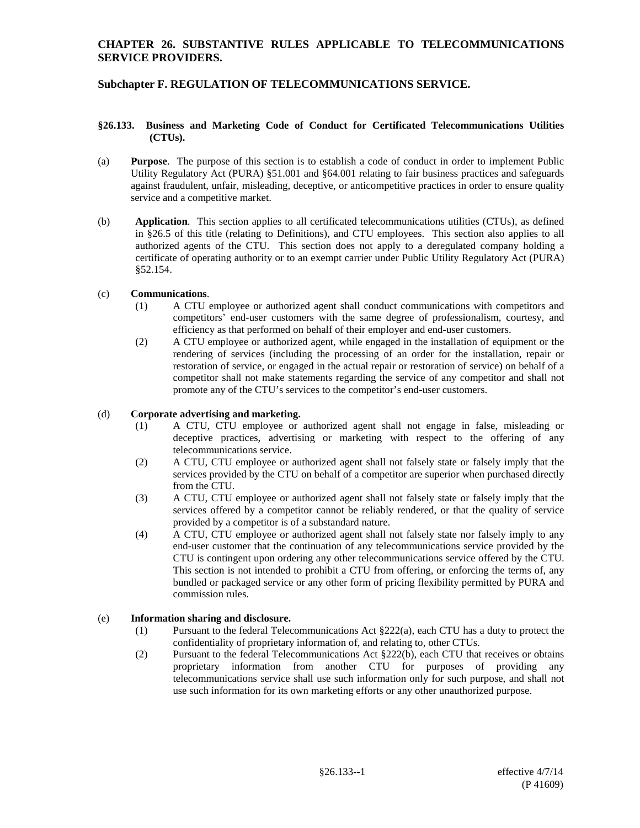## **CHAPTER 26. SUBSTANTIVE RULES APPLICABLE TO TELECOMMUNICATIONS SERVICE PROVIDERS.**

# **Subchapter F. REGULATION OF TELECOMMUNICATIONS SERVICE.**

#### **§26.133. Business and Marketing Code of Conduct for Certificated Telecommunications Utilities (CTUs).**

- (a) **Purpose**. The purpose of this section is to establish a code of conduct in order to implement Public Utility Regulatory Act (PURA) §51.001 and §64.001 relating to fair business practices and safeguards against fraudulent, unfair, misleading, deceptive, or anticompetitive practices in order to ensure quality service and a competitive market.
- (b) **Application**. This section applies to all certificated telecommunications utilities (CTUs), as defined in §26.5 of this title (relating to Definitions), and CTU employees. This section also applies to all authorized agents of the CTU. This section does not apply to a deregulated company holding a certificate of operating authority or to an exempt carrier under Public Utility Regulatory Act (PURA) §52.154.

#### (c) **Communications**.

- (1) A CTU employee or authorized agent shall conduct communications with competitors and competitors' end-user customers with the same degree of professionalism, courtesy, and efficiency as that performed on behalf of their employer and end-user customers.
- (2) A CTU employee or authorized agent, while engaged in the installation of equipment or the rendering of services (including the processing of an order for the installation, repair or restoration of service, or engaged in the actual repair or restoration of service) on behalf of a competitor shall not make statements regarding the service of any competitor and shall not promote any of the CTU's services to the competitor's end-user customers.

#### (d) **Corporate advertising and marketing.**

- (1) A CTU, CTU employee or authorized agent shall not engage in false, misleading or deceptive practices, advertising or marketing with respect to the offering of any telecommunications service.
- (2) A CTU, CTU employee or authorized agent shall not falsely state or falsely imply that the services provided by the CTU on behalf of a competitor are superior when purchased directly from the CTU.
- (3) A CTU, CTU employee or authorized agent shall not falsely state or falsely imply that the services offered by a competitor cannot be reliably rendered, or that the quality of service provided by a competitor is of a substandard nature.
- (4) A CTU, CTU employee or authorized agent shall not falsely state nor falsely imply to any end-user customer that the continuation of any telecommunications service provided by the CTU is contingent upon ordering any other telecommunications service offered by the CTU. This section is not intended to prohibit a CTU from offering, or enforcing the terms of, any bundled or packaged service or any other form of pricing flexibility permitted by PURA and commission rules.

#### (e) **Information sharing and disclosure.**

- (1) Pursuant to the federal Telecommunications Act §222(a), each CTU has a duty to protect the confidentiality of proprietary information of, and relating to, other CTUs.
- (2) Pursuant to the federal Telecommunications Act §222(b), each CTU that receives or obtains proprietary information from another CTU for purposes of providing any telecommunications service shall use such information only for such purpose, and shall not use such information for its own marketing efforts or any other unauthorized purpose.